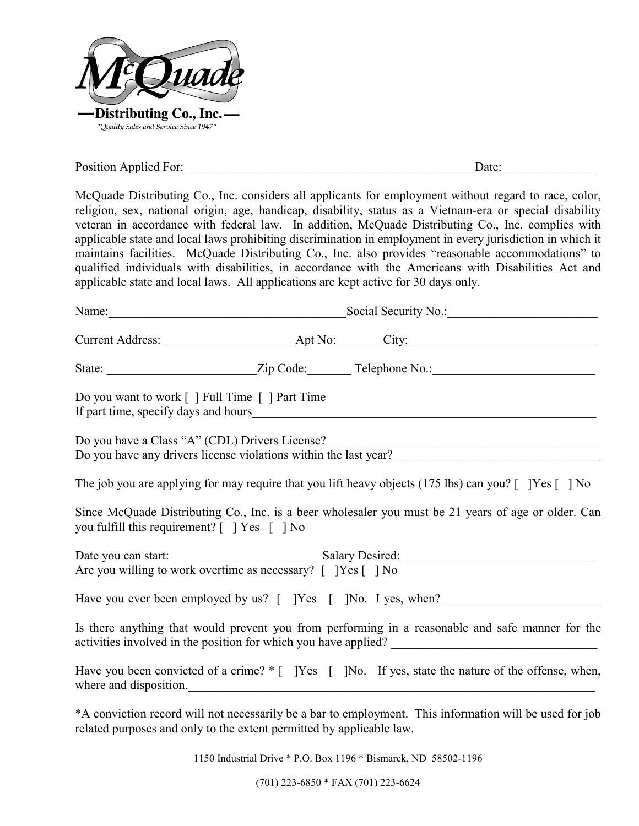

Position Applied For: \_\_\_\_\_\_\_\_\_\_\_\_\_\_\_\_\_\_\_\_\_\_\_\_\_\_\_\_\_\_\_\_\_\_\_\_\_\_\_\_\_\_\_\_\_\_Date:\_\_\_\_\_\_\_\_\_\_\_\_\_\_\_

McQuade Distributing Co., Inc. considers all applicants for employment without regard to race, color, religion, sex, national origin, age, handicap, disability, status as a Vietnam-era or special disability veteran in accordance with federal law. In addition, McQuade Distributing Co., Inc. complies with applicable state and local laws prohibiting discrimination in employment in every jurisdiction in which it maintains facilities. McQuade Distributing Co., Inc. also provides "reasonable accommodations" to qualified individuals with disabilities, in accordance with the Americans with Disabilities Act and applicable state and local laws. All applications are kept active for 30 days only.

| Name:                                                                | Social Security No.:                                                                                                                  |  |  |
|----------------------------------------------------------------------|---------------------------------------------------------------------------------------------------------------------------------------|--|--|
|                                                                      |                                                                                                                                       |  |  |
|                                                                      |                                                                                                                                       |  |  |
| Do you want to work [ ] Full Time [ ] Part Time                      |                                                                                                                                       |  |  |
|                                                                      | Do you have a Class "A" (CDL) Drivers License?<br>Do you have any drivers license violations within the last year?                    |  |  |
|                                                                      | The job you are applying for may require that you lift heavy objects (175 lbs) can you? $\lceil \ \rceil$ [Yes $\lceil \ \rceil$ ] No |  |  |
| you fulfill this requirement? $[$ $]$ $Yes$ $[$ $]$ $No$             | Since McQuade Distributing Co., Inc. is a beer wholesaler you must be 21 years of age or older. Can                                   |  |  |
|                                                                      | Date you can start: Salary Desired:<br>Are you willing to work overtime as necessary? [ ] Yes [ ] No                                  |  |  |
|                                                                      | Have you ever been employed by us? [ ]Yes [ ]No. I yes, when?                                                                         |  |  |
|                                                                      | Is there anything that would prevent you from performing in a reasonable and safe manner for the                                      |  |  |
| where and disposition.                                               | Have you been convicted of a crime? * [ ]Yes [ ]No. If yes, state the nature of the offense, when,                                    |  |  |
| related purposes and only to the extent permitted by applicable law. | *A conviction record will not necessarily be a bar to employment. This information will be used for job                               |  |  |

1150 Industrial Drive \* P.O. Box 1196 \* Bismarck, ND 58502-1196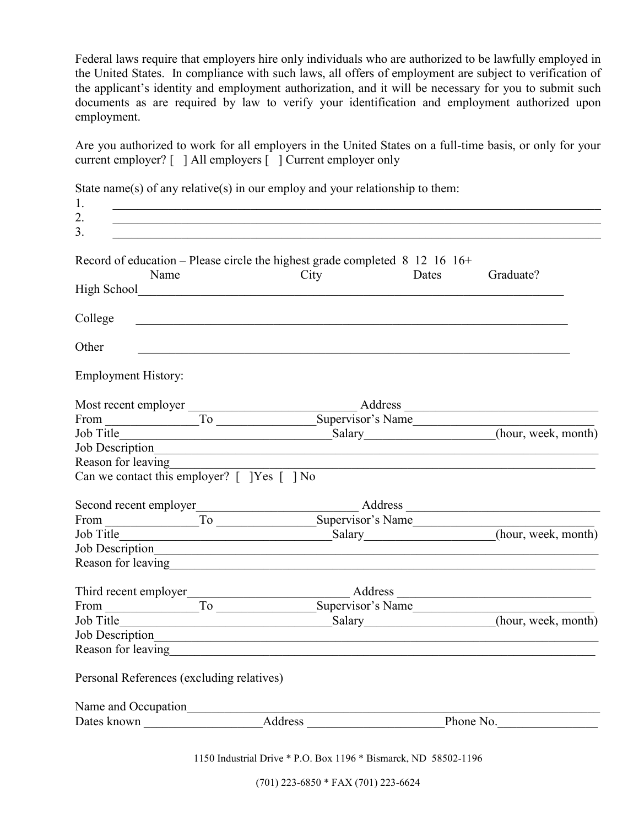Federal laws require that employers hire only individuals who are authorized to be lawfully employed in the United States. In compliance with such laws, all offers of employment are subject to verification of the applicant's identity and employment authorization, and it will be necessary for you to submit such documents as are required by law to verify your identification and employment authorized upon employment.

Are you authorized to work for all employers in the United States on a full-time basis, or only for your current employer? [ ] All employers [ ] Current employer only

| 1.                                                                                                                                                                                                                                     |                                                                                                                      |               |                                      |
|----------------------------------------------------------------------------------------------------------------------------------------------------------------------------------------------------------------------------------------|----------------------------------------------------------------------------------------------------------------------|---------------|--------------------------------------|
| 2.                                                                                                                                                                                                                                     |                                                                                                                      |               |                                      |
| 3.                                                                                                                                                                                                                                     |                                                                                                                      |               |                                      |
| Record of education – Please circle the highest grade completed $8\,12\,16\,16+$<br>Name                                                                                                                                               |                                                                                                                      | City<br>Dates | Graduate?                            |
|                                                                                                                                                                                                                                        |                                                                                                                      |               |                                      |
| College                                                                                                                                                                                                                                | <u> 1989 - Johann Barbara, marka a shekara tsa 1989 - An tsa 1989 - An tsa 1989 - An tsa 1989 - An tsa 1989 - An</u> |               |                                      |
| Other                                                                                                                                                                                                                                  |                                                                                                                      |               |                                      |
| <b>Employment History:</b>                                                                                                                                                                                                             |                                                                                                                      |               |                                      |
|                                                                                                                                                                                                                                        |                                                                                                                      |               |                                      |
|                                                                                                                                                                                                                                        |                                                                                                                      |               |                                      |
| Job Title (hour, week, month)                                                                                                                                                                                                          |                                                                                                                      |               |                                      |
| Job Description                                                                                                                                                                                                                        |                                                                                                                      |               |                                      |
| Reason for leaving                                                                                                                                                                                                                     |                                                                                                                      |               |                                      |
| Can we contact this employer? $[$ [Yes $[$ ] No                                                                                                                                                                                        |                                                                                                                      |               |                                      |
|                                                                                                                                                                                                                                        |                                                                                                                      |               |                                      |
|                                                                                                                                                                                                                                        |                                                                                                                      |               |                                      |
| Job Title                                                                                                                                                                                                                              |                                                                                                                      |               | Salary (hour, week, month)           |
|                                                                                                                                                                                                                                        |                                                                                                                      |               |                                      |
| Reason for leaving<br><u>example and the contract of the contract of the contract of the contract of the contract of the contract of the contract of the contract of the contract of the contract of the contract of the contract </u> |                                                                                                                      |               |                                      |
|                                                                                                                                                                                                                                        |                                                                                                                      |               |                                      |
|                                                                                                                                                                                                                                        |                                                                                                                      |               |                                      |
| Job Title                                                                                                                                                                                                                              |                                                                                                                      |               | Salary<br>Salary (hour, week, month) |
| Job Description                                                                                                                                                                                                                        |                                                                                                                      |               |                                      |
| Reason for leaving<br><u>Example 2014</u>                                                                                                                                                                                              |                                                                                                                      |               |                                      |
| Personal References (excluding relatives)                                                                                                                                                                                              |                                                                                                                      |               |                                      |
|                                                                                                                                                                                                                                        |                                                                                                                      |               |                                      |
|                                                                                                                                                                                                                                        |                                                                                                                      |               |                                      |
|                                                                                                                                                                                                                                        |                                                                                                                      |               |                                      |

State name(s) of any relative(s) in our employ and your relationship to them:

1150 Industrial Drive \* P.O. Box 1196 \* Bismarck, ND 58502-1196

(701) 223-6850 \* FAX (701) 223-6624